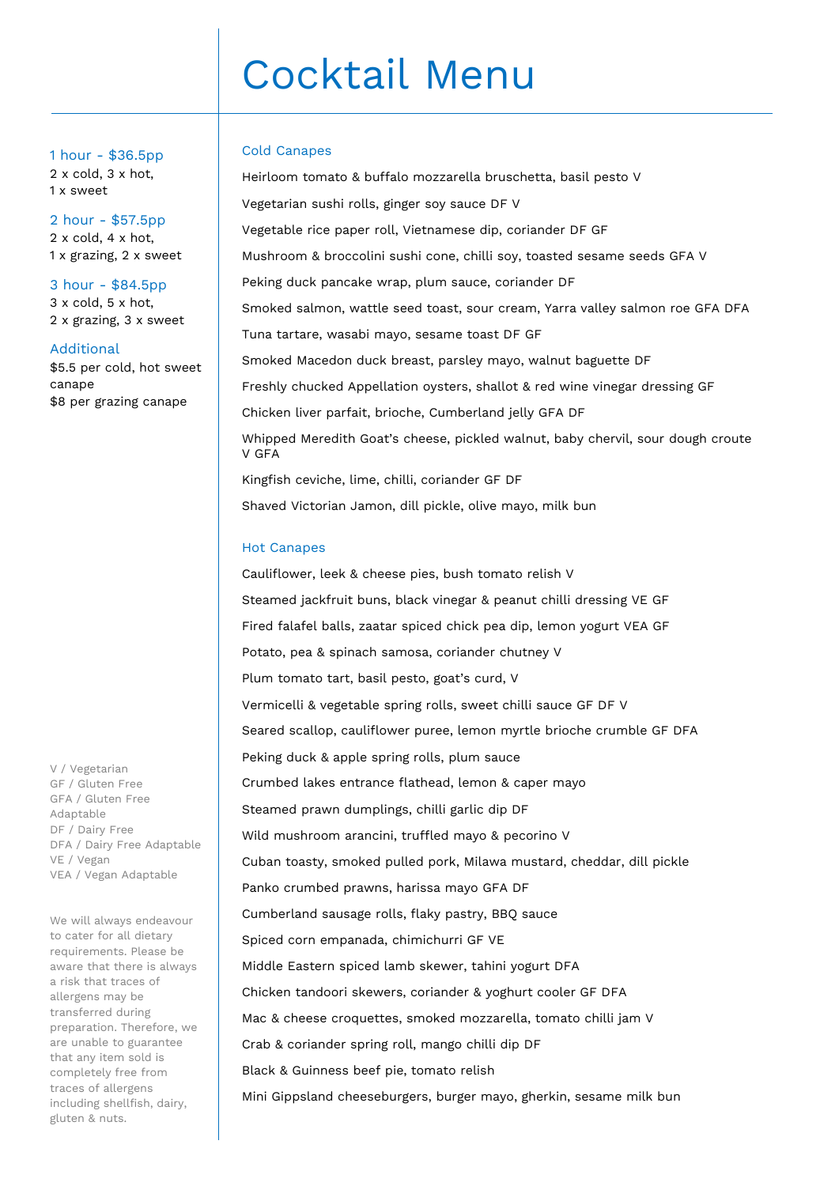# Cocktail Menu

#### Cold Canapes

Heirloom tomato & buffalo mozzarella bruschetta, basil pesto V Vegetarian sushi rolls, ginger soy sauce DF V Vegetable rice paper roll, Vietnamese dip, coriander DF GF Mushroom & broccolini sushi cone, chilli soy, toasted sesame seeds GFA V Peking duck pancake wrap, plum sauce, coriander DF Smoked salmon, wattle seed toast, sour cream, Yarra valley salmon roe GFA DFA Tuna tartare, wasabi mayo, sesame toast DF GF Smoked Macedon duck breast, parsley mayo, walnut baguette DF Freshly chucked Appellation oysters, shallot & red wine vinegar dressing GF Chicken liver parfait, brioche, Cumberland jelly GFA DF Whipped Meredith Goat's cheese, pickled walnut, baby chervil, sour dough croute V GFA Kingfish ceviche, lime, chilli, coriander GF DF Shaved Victorian Jamon, dill pickle, olive mayo, milk bun

#### Hot Canapes

Cauliflower, leek & cheese pies, bush tomato relish V Steamed jackfruit buns, black vinegar & peanut chilli dressing VE GF Fired falafel balls, zaatar spiced chick pea dip, lemon yogurt VEA GF Potato, pea & spinach samosa, coriander chutney V Plum tomato tart, basil pesto, goat's curd, V Vermicelli & vegetable spring rolls, sweet chilli sauce GF DF V Seared scallop, cauliflower puree, lemon myrtle brioche crumble GF DFA Peking duck & apple spring rolls, plum sauce Crumbed lakes entrance flathead, lemon & caper mayo Steamed prawn dumplings, chilli garlic dip DF Wild mushroom arancini, truffled mayo & pecorino V Cuban toasty, smoked pulled pork, Milawa mustard, cheddar, dill pickle Panko crumbed prawns, harissa mayo GFA DF Cumberland sausage rolls, flaky pastry, BBQ sauce Spiced corn empanada, chimichurri GF VE Middle Eastern spiced lamb skewer, tahini yogurt DFA Chicken tandoori skewers, coriander & yoghurt cooler GF DFA Mac & cheese croquettes, smoked mozzarella, tomato chilli jam V Crab & coriander spring roll, mango chilli dip DF Black & Guinness beef pie, tomato relish Mini Gippsland cheeseburgers, burger mayo, gherkin, sesame milk bun

1 hour - \$36.5pp 2 x cold, 3 x hot, 1 x sweet

2 hour - \$57.5pp 2 x cold, 4 x hot, 1 x grazing, 2 x sweet

3 hour - \$84.5pp 3 x cold, 5 x hot, 2 x grazing, 3 x sweet

Additional \$5.5 per cold, hot sweet canape \$8 per grazing canape

V / Vegetarian GF / Gluten Free GFA / Gluten Free Adaptable DF / Dairy Free DFA / Dairy Free Adaptable VE / Vegan VEA / Vegan Adaptable

We will always endeavour to cater for all dietary requirements. Please be aware that there is always a risk that traces of allergens may be transferred during preparation. Therefore, we are unable to guarantee that any item sold is completely free from traces of allergens including shellfish, dairy, gluten & nuts.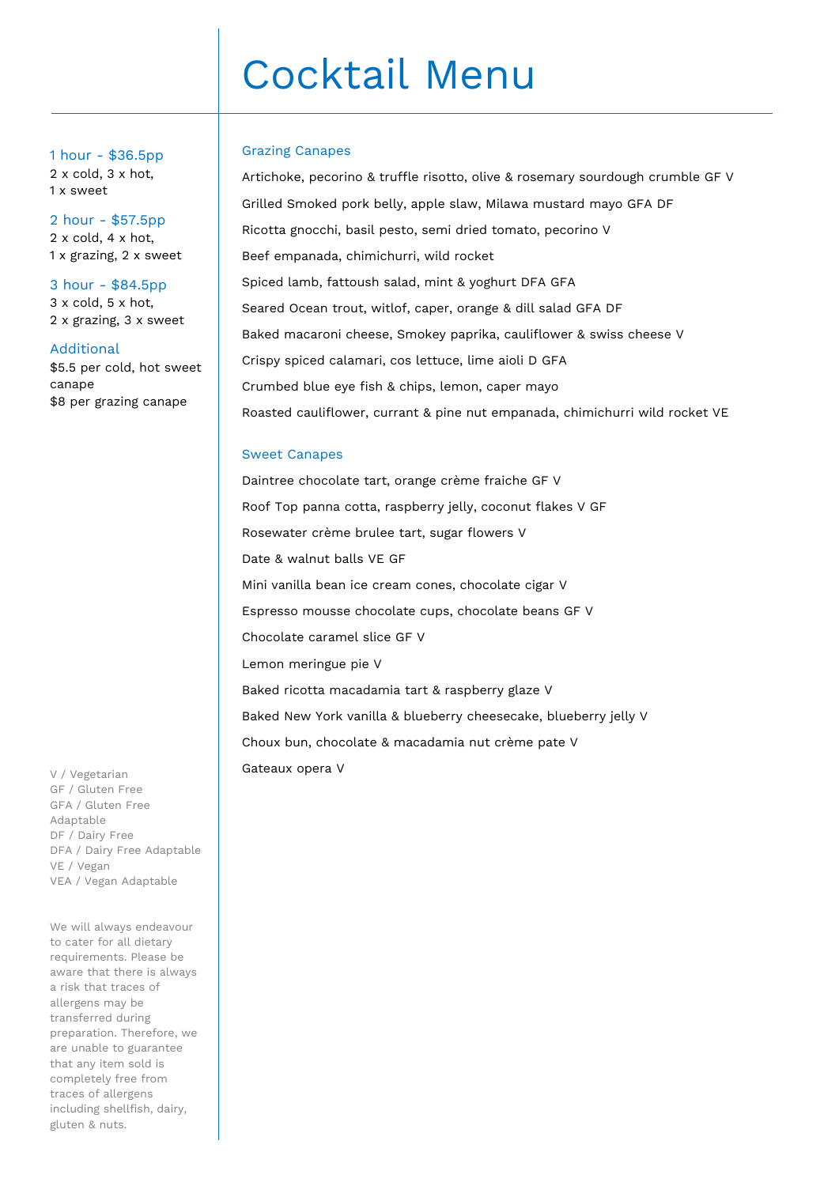# Cocktail Menu

#### Grazing Canapes

Artichoke, pecorino & truffle risotto, olive & rosemary sourdough crumble GF V Grilled Smoked pork belly, apple slaw, Milawa mustard mayo GFA DF Ricotta gnocchi, basil pesto, semi dried tomato, pecorino V Beef empanada, chimichurri, wild rocket Spiced lamb, fattoush salad, mint & yoghurt DFA GFA Seared Ocean trout, witlof, caper, orange & dill salad GFA DF Baked macaroni cheese, Smokey paprika, cauliflower & swiss cheese V Crispy spiced calamari, cos lettuce, lime aioli D GFA Crumbed blue eye fish & chips, lemon, caper mayo Roasted cauliflower, currant & pine nut empanada, chimichurri wild rocket VE

#### Sweet Canapes

Daintree chocolate tart, orange crème fraiche GF V Roof Top panna cotta, raspberry jelly, coconut flakes V GF Rosewater crème brulee tart, sugar flowers V Date & walnut balls VE GF Mini vanilla bean ice cream cones, chocolate cigar V Espresso mousse chocolate cups, chocolate beans GF V Chocolate caramel slice GF V Lemon meringue pie V Baked ricotta macadamia tart & raspberry glaze V Baked New York vanilla & blueberry cheesecake, blueberry jelly V Choux bun, chocolate & macadamia nut crème pate V Gateaux opera V

1 hour - \$36.5pp 2 x cold, 3 x hot, 1 x sweet

2 hour - \$57.5pp 2 x cold, 4 x hot, 1 x grazing, 2 x sweet

3 hour - \$84.5pp 3 x cold, 5 x hot, 2 x grazing, 3 x sweet

Additional \$5.5 per cold, hot sweet canape \$8 per grazing canape

V / Vegetarian GF / Gluten Free GFA / Gluten Free Adaptable DF / Dairy Free DFA / Dairy Free Adaptable VE / Vegan VEA / Vegan Adaptable

We will always endeavour to cater for all dietary requirements. Please be aware that there is always a risk that traces of allergens may be transferred during preparation. Therefore, we are unable to guarantee that any item sold is completely free from traces of allergens including shellfish, dairy, gluten & nuts.